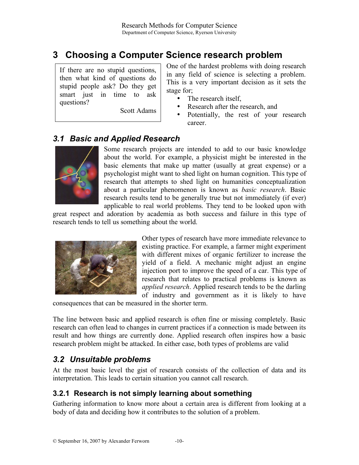# **3 Choosing a Computer Science research problem**

If there are no stupid questions, then what kind of questions do stupid people ask? Do they get smart just in time to ask questions?

Scott Adams

One of the hardest problems with doing research in any field of science is selecting a problem. This is a very important decision as it sets the stage for;

- The research itself,
- Research after the research, and
- Potentially, the rest of your research career.

### *3.1 Basic and Applied Research*



Some research projects are intended to add to our basic knowledge about the world. For example, a physicist might be interested in the basic elements that make up matter (usually at great expense) or a psychologist might want to shed light on human cognition. This type of research that attempts to shed light on humanities conceptualization about a particular phenomenon is known as *basic research*. Basic research results tend to be generally true but not immediately (if ever) applicable to real world problems. They tend to be looked upon with

great respect and adoration by academia as both success and failure in this type of research tends to tell us something about the world.



Other types of research have more immediate relevance to existing practice. For example, a farmer might experiment with different mixes of organic fertilizer to increase the yield of a field. A mechanic might adjust an engine injection port to improve the speed of a car. This type of research that relates to practical problems is known as *applied research*. Applied research tends to be the darling of industry and government as it is likely to have

consequences that can be measured in the shorter term.

The line between basic and applied research is often fine or missing completely. Basic research can often lead to changes in current practices if a connection is made between its result and how things are currently done. Applied research often inspires how a basic research problem might be attacked. In either case, both types of problems are valid

#### *3.2 Unsuitable problems*

At the most basic level the gist of research consists of the collection of data and its interpretation. This leads to certain situation you cannot call research.

#### **3.2.1 Research is not simply learning about something**

Gathering information to know more about a certain area is different from looking at a body of data and deciding how it contributes to the solution of a problem.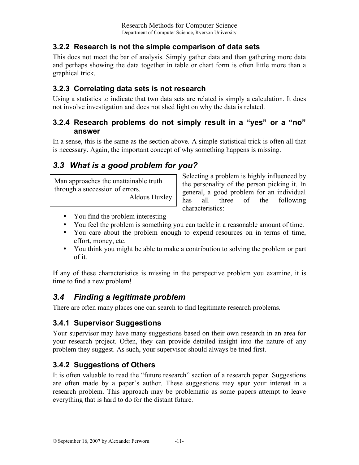### **3.2.2 Research is not the simple comparison of data sets**

This does not meet the bar of analysis. Simply gather data and than gathering more data and perhaps showing the data together in table or chart form is often little more than a graphical trick.

### **3.2.3 Correlating data sets is not research**

Using a statistics to indicate that two data sets are related is simply a calculation. It does not involve investigation and does not shed light on why the data is related.

#### **3.2.4 Research problems do not simply result in a "yes" or a "no" answer**

In a sense, this is the same as the section above. A simple statistical trick is often all that is necessary. Again, the important concept of why something happens is missing.

## *3.3 What is a good problem for you?*

Man approaches the unattainable truth through a succession of errors.

Aldous Huxley

Selecting a problem is highly influenced by the personality of the person picking it. In general, a good problem for an individual has all three of the following characteristics:

- You find the problem interesting
- You feel the problem is something you can tackle in a reasonable amount of time.
- You care about the problem enough to expend resources on in terms of time, effort, money, etc.
- You think you might be able to make a contribution to solving the problem or part of it.

If any of these characteristics is missing in the perspective problem you examine, it is time to find a new problem!

### *3.4 Finding a legitimate problem*

There are often many places one can search to find legitimate research problems.

#### **3.4.1 Supervisor Suggestions**

Your supervisor may have many suggestions based on their own research in an area for your research project. Often, they can provide detailed insight into the nature of any problem they suggest. As such, your supervisor should always be tried first.

#### **3.4.2 Suggestions of Others**

It is often valuable to read the "future research" section of a research paper. Suggestions are often made by a paper's author. These suggestions may spur your interest in a research problem. This approach may be problematic as some papers attempt to leave everything that is hard to do for the distant future.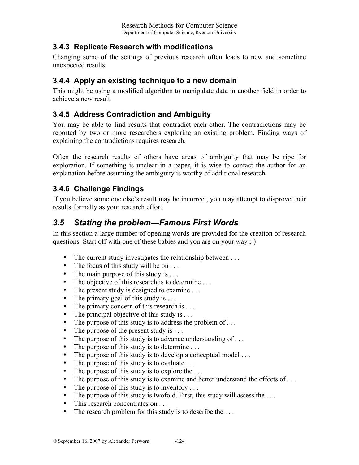#### **3.4.3 Replicate Research with modifications**

Changing some of the settings of previous research often leads to new and sometime unexpected results.

#### **3.4.4 Apply an existing technique to a new domain**

This might be using a modified algorithm to manipulate data in another field in order to achieve a new result

#### **3.4.5 Address Contradiction and Ambiguity**

You may be able to find results that contradict each other. The contradictions may be reported by two or more researchers exploring an existing problem. Finding ways of explaining the contradictions requires research.

Often the research results of others have areas of ambiguity that may be ripe for exploration. If something is unclear in a paper, it is wise to contact the author for an explanation before assuming the ambiguity is worthy of additional research.

### **3.4.6 Challenge Findings**

If you believe some one else's result may be incorrect, you may attempt to disprove their results formally as your research effort.

### *3.5 Stating the problem—Famous First Words*

In this section a large number of opening words are provided for the creation of research questions. Start off with one of these babies and you are on your way ;-)

- The current study investigates the relationship between ...
- The focus of this study will be on  $\dots$
- The main purpose of this study is . . .
- The objective of this research is to determine ...
- The present study is designed to examine ...
- The primary goal of this study is ...
- The primary concern of this research is . . .
- The principal objective of this study is  $\dots$
- The purpose of this study is to address the problem of ...
- The purpose of the present study is ...
- The purpose of this study is to advance understanding of ...
- The purpose of this study is to determine ...
- The purpose of this study is to develop a conceptual model ...<br>• The nurnose of this study is to evaluate ...
- The purpose of this study is to evaluate  $\dots$
- The purpose of this study is to explore the ...
- The purpose of this study is to examine and better understand the effects of ...
- The purpose of this study is to inventory . . .
- The purpose of this study is twofold. First, this study will assess the ...
- This research concentrates on . . .
- The research problem for this study is to describe the ...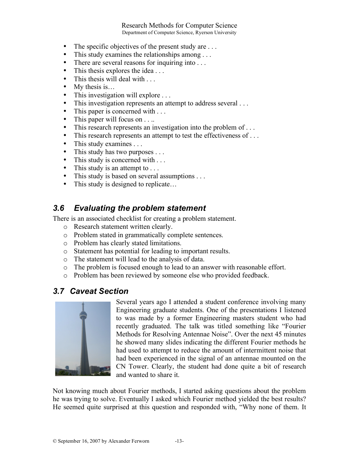#### Research Methods for Computer Science Department of Computer Science, Ryerson University

- The specific objectives of the present study are ...
- This study examines the relationships among ...
- There are several reasons for inquiring into ...
- This thesis explores the idea . . .
- This thesis will deal with ...
- My thesis is...
- This investigation will explore ...<br>• This investigation represents an att
- This investigation represents an attempt to address several . . .
- This paper is concerned with ...
- This paper will focus on . . ..
- This research represents an investigation into the problem of ...
- This research represents an attempt to test the effectiveness of ...
- This study examines . . .<br>• This study has two purpo
- This study has two purposes . . .
- This study is concerned with ...
- This study is an attempt to . . .
- This study is based on several assumptions . . .
- This study is designed to replicate...

#### *3.6 Evaluating the problem statement*

There is an associated checklist for creating a problem statement.

- o Research statement written clearly.
- o Problem stated in grammatically complete sentences.
- o Problem has clearly stated limitations.
- o Statement has potential for leading to important results.
- o The statement will lead to the analysis of data.
- o The problem is focused enough to lead to an answer with reasonable effort.
- o Problem has been reviewed by someone else who provided feedback.

#### *3.7 Caveat Section*



Several years ago I attended a student conference involving many Engineering graduate students. One of the presentations I listened to was made by a former Engineering masters student who had recently graduated. The talk was titled something like "Fourier Methods for Resolving Antennae Noise". Over the next 45 minutes he showed many slides indicating the different Fourier methods he had used to attempt to reduce the amount of intermittent noise that had been experienced in the signal of an antennae mounted on the CN Tower. Clearly, the student had done quite a bit of research and wanted to share it.

Not knowing much about Fourier methods, I started asking questions about the problem he was trying to solve. Eventually I asked which Fourier method yielded the best results? He seemed quite surprised at this question and responded with, "Why none of them. It